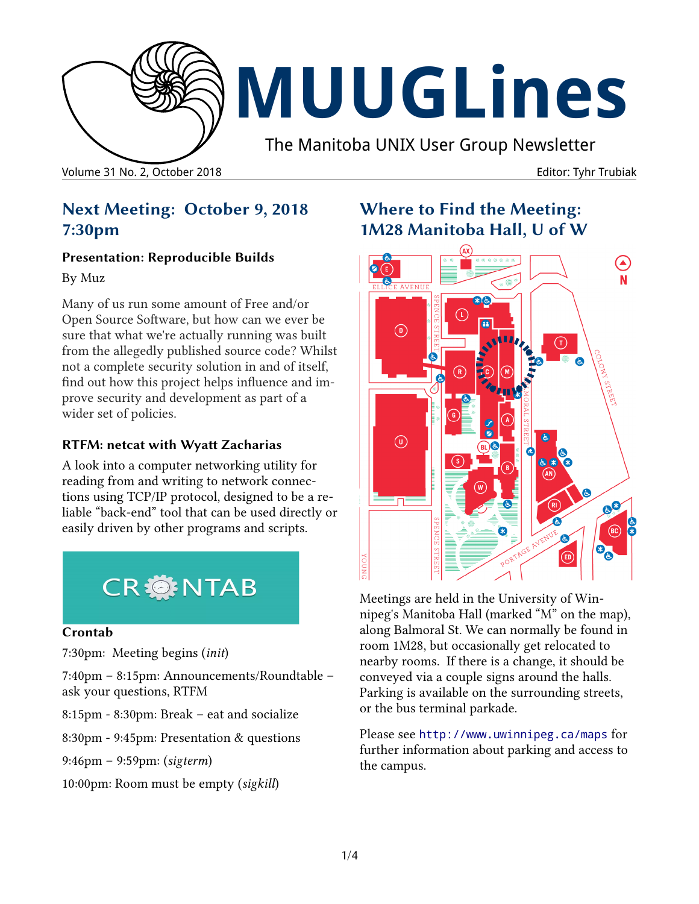

### **Next Meeting: October 9, 2018 7:30pm**

#### **Presentation: Reproducible Builds**

By Muz

Many of us run some amount of Free and/or Open Source Software, but how can we ever be sure that what we're actually running was built from the allegedly published source code? Whilst not a complete security solution in and of itself, find out how this project helps influence and improve security and development as part of a wider set of policies.

### **RTFM: netcat with Wyatt Zacharias**

A look into a computer networking utility for reading from and writing to network connections using TCP/IP protocol, designed to be a reliable "back-end" tool that can be used directly or easily driven by other programs and scripts.



#### **Crontab**

7:30pm: Meeting begins (*init*)

7:40pm – 8:15pm: Announcements/Roundtable – ask your questions, RTFM

8:15pm - 8:30pm: Break – eat and socialize

8:30pm - 9:45pm: Presentation & questions

9:46pm – 9:59pm: (*sigterm*)

10:00pm: Room must be empty (*sigkill*)

# **Where to Find the Meeting: 1M28 Manitoba Hall, U of W**



Meetings are held in the University of Winnipeg's Manitoba Hall (marked "M" on the map), along Balmoral St. We can normally be found in room 1M28, but occasionally get relocated to nearby rooms. If there is a change, it should be conveyed via a couple signs around the halls. Parking is available on the surrounding streets, or the bus terminal parkade.

Please see <http://www.uwinnipeg.ca/maps> for further information about parking and access to the campus.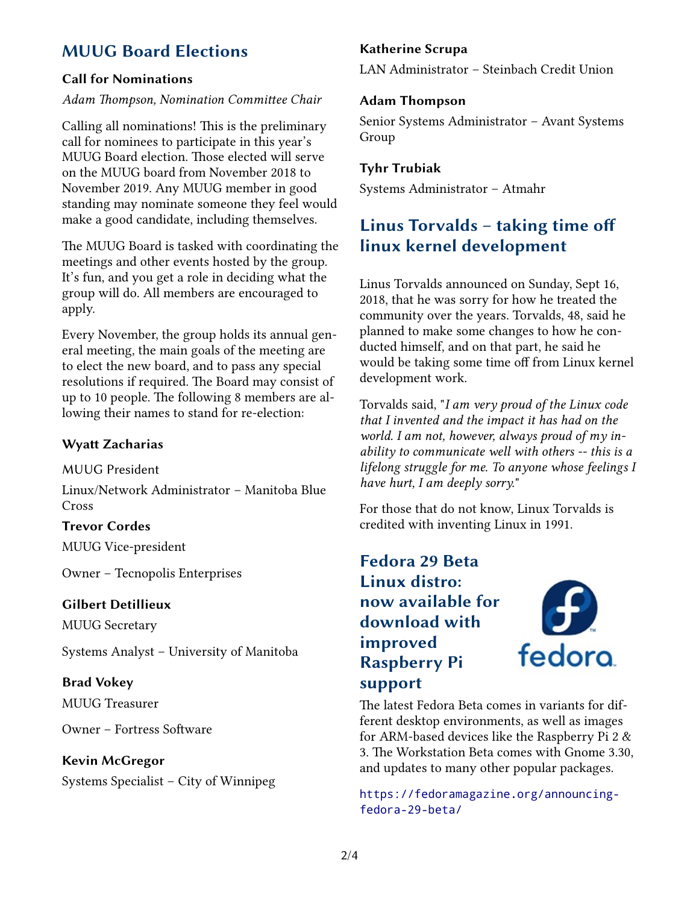# **MUUG Board Elections**

#### **Call for Nominations**

#### *Adam Thompson, Nomination Committee Chair*

Calling all nominations! This is the preliminary call for nominees to participate in this year's MUUG Board election. Those elected will serve on the MUUG board from November 2018 to November 2019. Any MUUG member in good standing may nominate someone they feel would make a good candidate, including themselves.

The MUUG Board is tasked with coordinating the meetings and other events hosted by the group. It's fun, and you get a role in deciding what the group will do. All members are encouraged to apply.

Every November, the group holds its annual general meeting, the main goals of the meeting are to elect the new board, and to pass any special resolutions if required. The Board may consist of up to 10 people. The following 8 members are allowing their names to stand for re-election:

#### **Wyatt Zacharias**

MUUG President

Linux/Network Administrator – Manitoba Blue Cross

#### **Trevor Cordes**

MUUG Vice-president

Owner – Tecnopolis Enterprises

#### **Gilbert Detillieux**

MUUG Secretary

Systems Analyst – University of Manitoba

#### **Brad Vokey**

MUUG Treasurer

Owner – Fortress Software

#### **Kevin McGregor**

Systems Specialist – City of Winnipeg

#### **Katherine Scrupa**

LAN Administrator – Steinbach Credit Union

#### **Adam Thompson**

Senior Systems Administrator – Avant Systems Group

#### **Tyhr Trubiak**

Systems Administrator – Atmahr

## **Linus Torvalds – taking time off linux kernel development**

Linus Torvalds announced on Sunday, Sept 16, 2018, that he was sorry for how he treated the community over the years. Torvalds, 48, said he planned to make some changes to how he conducted himself, and on that part, he said he would be taking some time off from Linux kernel development work.

Torvalds said, "*I am very proud of the Linux code that I invented and the impact it has had on the world. I am not, however, always proud of my inability to communicate well with others -- this is a lifelong struggle for me. To anyone whose feelings I have hurt, I am deeply sorry.*"

For those that do not know, Linux Torvalds is credited with inventing Linux in 1991.

### **Fedora 29 Beta Linux distro: now available for download with improved Raspberry Pi support**



The latest Fedora Beta comes in variants for different desktop environments, as well as images for ARM-based devices like the Raspberry Pi 2 & 3. The Workstation Beta comes with Gnome 3.30, and updates to many other popular packages.

[https://fedoramagazine.org/announcing](https://fedoramagazine.org/announcing-fedora-29-beta/)[fedora-29-beta/](https://fedoramagazine.org/announcing-fedora-29-beta/)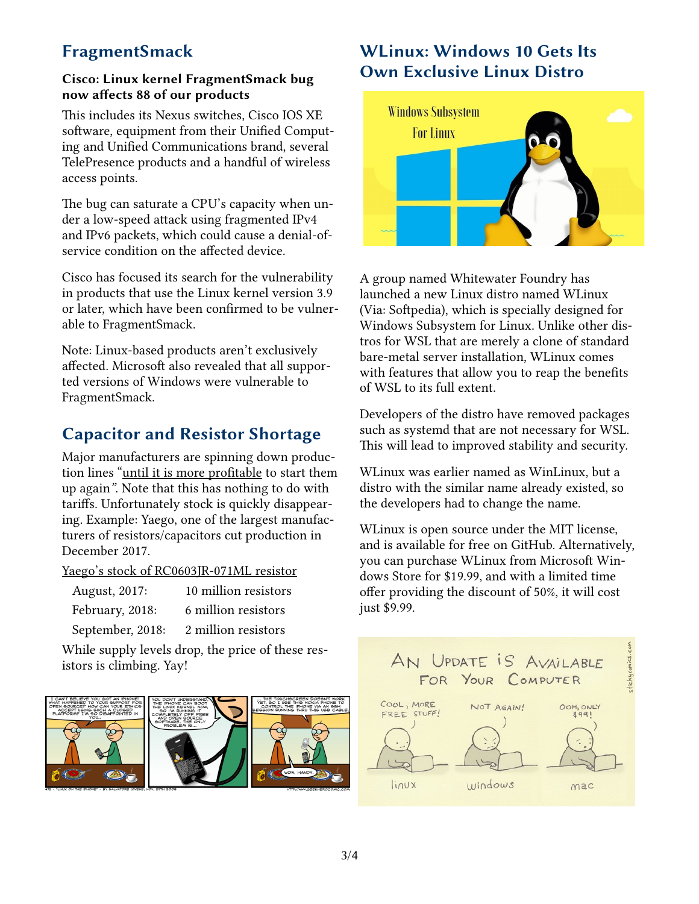# **FragmentSmack**

#### **Cisco: Linux kernel FragmentSmack bug now affects 88 of our products**

This includes its Nexus switches, Cisco IOS XE software, equipment from their Unified Computing and Unified Communications brand, several TelePresence products and a handful of wireless access points.

The bug can saturate a CPU's capacity when under a low-speed attack using fragmented IPv4 and IPv6 packets, which could cause a denial-ofservice condition on the affected device.

Cisco has focused its search for the vulnerability in products that use the Linux kernel version 3.9 or later, which have been confirmed to be vulnerable to FragmentSmack.

Note: Linux-based products aren't exclusively affected. Microsoft also revealed that all supported versions of Windows were vulnerable to FragmentSmack.

# **Capacitor and Resistor Shortage**

Major manufacturers are spinning down production lines "until it is more profitable to start them up again*"*. Note that this has nothing to do with tariffs. Unfortunately stock is quickly disappearing. Example: Yaego, one of the largest manufacturers of resistors/capacitors cut production in December 2017.

Yaego's stock of RC0603JR-071ML resistor

| August, 2017:    | 10 million resistors |
|------------------|----------------------|
| February, 2018:  | 6 million resistors  |
| September, 2018: | 2 million resistors  |

While supply levels drop, the price of these resistors is climbing. Yay!



# **WLinux: Windows 10 Gets Its Own Exclusive Linux Distro**



A group named Whitewater Foundry has launched a new Linux distro named WLinux (Via: Softpedia), which is specially designed for Windows Subsystem for Linux. Unlike other distros for WSL that are merely a clone of standard bare-metal server installation, WLinux comes with features that allow you to reap the benefits of WSL to its full extent.

Developers of the distro have removed packages such as systemd that are not necessary for WSL. This will lead to improved stability and security.

WLinux was earlier named as WinLinux, but a distro with the similar name already existed, so the developers had to change the name.

WLinux is open source under the MIT license, and is available for free on GitHub. Alternatively, you can purchase WLinux from Microsoft Windows Store for \$19.99, and with a limited time offer providing the discount of 50%, it will cost just \$9.99.